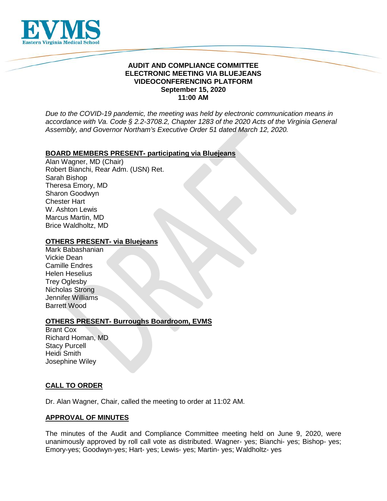

### **AUDIT AND COMPLIANCE COMMITTEE ELECTRONIC MEETING VIA BLUEJEANS VIDEOCONFERENCING PLATFORM September 15, 2020 11:00 AM**

*Due to the COVID-19 pandemic, the meeting was held by electronic communication means in accordance with Va. Code § 2.2-3708.2, Chapter 1283 of the 2020 Acts of the Virginia General Assembly, and Governor Northam's Executive Order 51 dated March 12, 2020.*

### **BOARD MEMBERS PRESENT- participating via Bluejeans**

Alan Wagner, MD (Chair) Robert Bianchi, Rear Adm. (USN) Ret. Sarah Bishop Theresa Emory, MD Sharon Goodwyn Chester Hart W. Ashton Lewis Marcus Martin, MD Brice Waldholtz, MD

### **OTHERS PRESENT- via Bluejeans**

Mark Babashanian Vickie Dean Camille Endres Helen Heselius Trey Oglesby Nicholas Strong Jennifer Williams Barrett Wood

#### **OTHERS PRESENT- Burroughs Boardroom, EVMS**

Brant Cox Richard Homan, MD Stacy Purcell Heidi Smith Josephine Wiley

## **CALL TO ORDER**

Dr. Alan Wagner, Chair, called the meeting to order at 11:02 AM.

#### **APPROVAL OF MINUTES**

The minutes of the Audit and Compliance Committee meeting held on June 9, 2020, were unanimously approved by roll call vote as distributed. Wagner- yes; Bianchi- yes; Bishop- yes; Emory-yes; Goodwyn-yes; Hart- yes; Lewis- yes; Martin- yes; Waldholtz- yes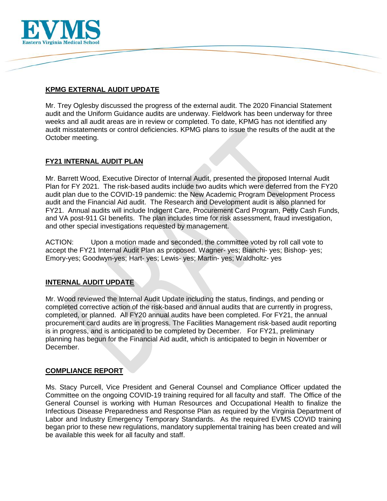

# **KPMG EXTERNAL AUDIT UPDATE**

Mr. Trey Oglesby discussed the progress of the external audit. The 2020 Financial Statement audit and the Uniform Guidance audits are underway. Fieldwork has been underway for three weeks and all audit areas are in review or completed. To date, KPMG has not identified any audit misstatements or control deficiencies. KPMG plans to issue the results of the audit at the October meeting.

# **FY21 INTERNAL AUDIT PLAN**

Mr. Barrett Wood, Executive Director of Internal Audit, presented the proposed Internal Audit Plan for FY 2021. The risk-based audits include two audits which were deferred from the FY20 audit plan due to the COVID-19 pandemic: the New Academic Program Development Process audit and the Financial Aid audit. The Research and Development audit is also planned for FY21. Annual audits will include Indigent Care, Procurement Card Program, Petty Cash Funds, and VA post-911 GI benefits. The plan includes time for risk assessment, fraud investigation, and other special investigations requested by management.

ACTION: Upon a motion made and seconded, the committee voted by roll call vote to accept the FY21 Internal Audit Plan as proposed. Wagner- yes; Bianchi- yes; Bishop- yes; Emory-yes; Goodwyn-yes; Hart- yes; Lewis- yes; Martin- yes; Waldholtz- yes

## **INTERNAL AUDIT UPDATE**

Mr. Wood reviewed the Internal Audit Update including the status, findings, and pending or completed corrective action of the risk-based and annual audits that are currently in progress, completed, or planned. All FY20 annual audits have been completed. For FY21, the annual procurement card audits are in progress. The Facilities Management risk-based audit reporting is in progress, and is anticipated to be completed by December. For FY21, preliminary planning has begun for the Financial Aid audit, which is anticipated to begin in November or December.

## **COMPLIANCE REPORT**

Ms. Stacy Purcell, Vice President and General Counsel and Compliance Officer updated the Committee on the ongoing COVID-19 training required for all faculty and staff. The Office of the General Counsel is working with Human Resources and Occupational Health to finalize the Infectious Disease Preparedness and Response Plan as required by the Virginia Department of Labor and Industry Emergency Temporary Standards. As the required EVMS COVID training began prior to these new regulations, mandatory supplemental training has been created and will be available this week for all faculty and staff.